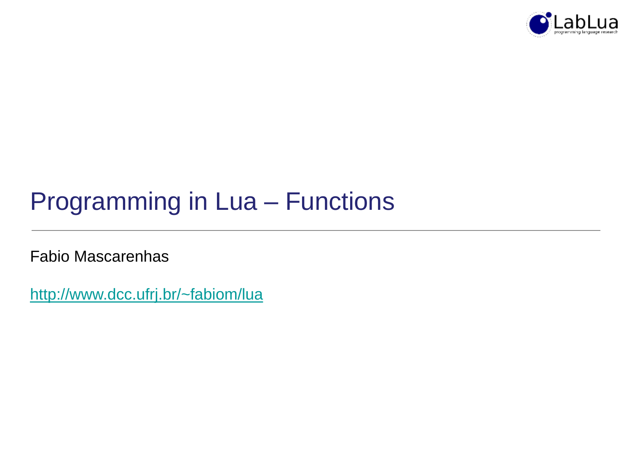

# Programming in Lua – Functions

Fabio Mascarenhas

<http://www.dcc.ufrj.br/~fabiom/lua>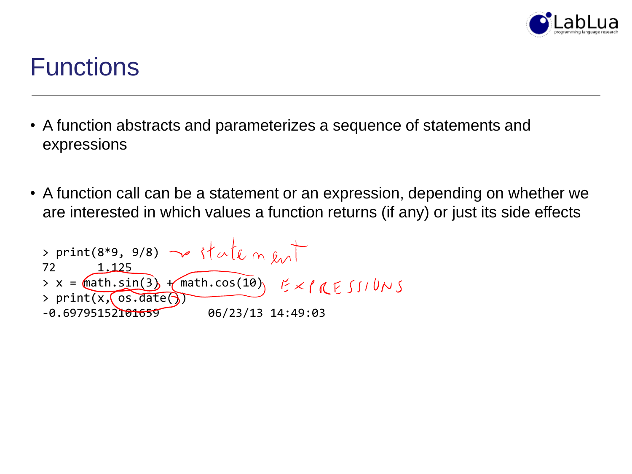

### **Functions**

- A function abstracts and parameterizes a sequence of statements and expressions
- A function call can be a statement or an expression, depending on whether we are interested in which values a function returns (if any) or just its side effects

> print(8\*9, 9/8) ~# of the m km  
72 1.125  
> x = math.sin(3) + math. cos(10) 
$$
E \times P \times S \cup U \rightarrow
$$
  
> print(x, cos.data)  
-0.69795152101659 06/23/13 14:49:03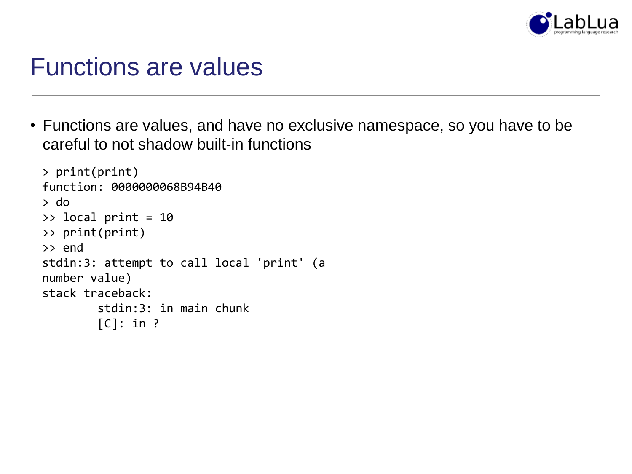

#### Functions are values

• Functions are values, and have no exclusive namespace, so you have to be careful to not shadow built-in functions

```
> print(print)
function: 0000000068B94B40
> do
>> local print = 10
>> print(print)
>> end
stdin:3: attempt to call local 'print' (a 
number value)
stack traceback:
        stdin:3: in main chunk
        [C]: in ?
```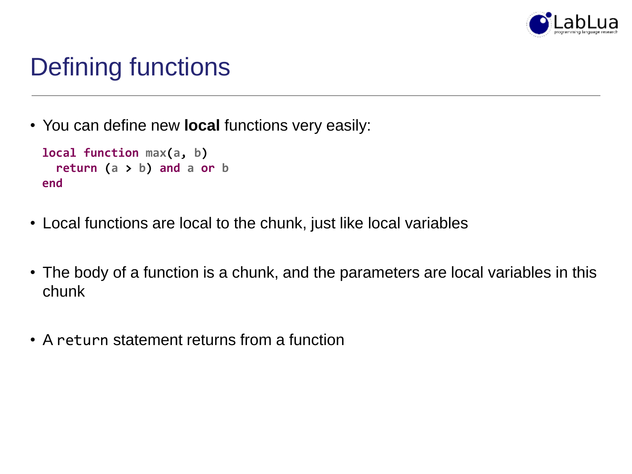

# Defining functions

• You can define new **local** functions very easily:

```
local function max(a, b)
 return (a > b) and a or b
end
```
- Local functions are local to the chunk, just like local variables
- The body of a function is a chunk, and the parameters are local variables in this chunk
- A return statement returns from a function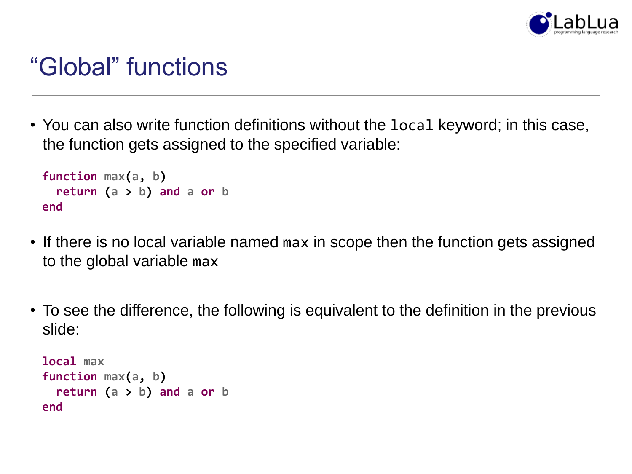

### "Global" functions

• You can also write function definitions without the local keyword; in this case, the function gets assigned to the specified variable:

```
function max(a, b)
 return (a > b) and a or b
end
```
- If there is no local variable named max in scope then the function gets assigned to the global variable max
- To see the difference, the following is equivalent to the definition in the previous slide:

```
local max
function max(a, b)
 return (a > b) and a or b
end
```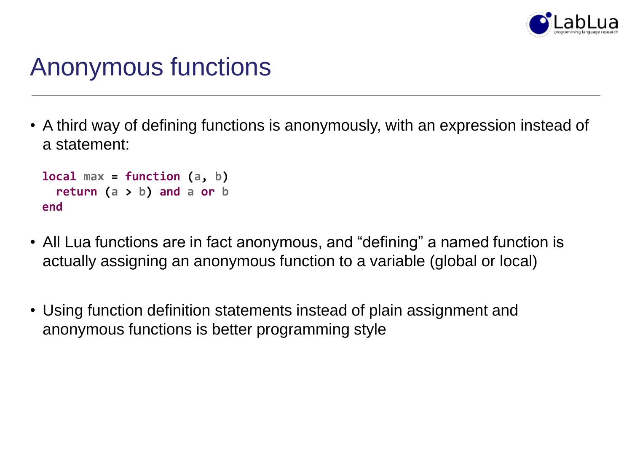

### Anonymous functions

• A third way of defining functions is anonymously, with an expression instead of a statement:

```
local max = function (a, b)
 return (a > b) and a or b
end
```
- All Lua functions are in fact anonymous, and "defining" a named function is actually assigning an anonymous function to a variable (global or local)
- Using function definition statements instead of plain assignment and anonymous functions is better programming style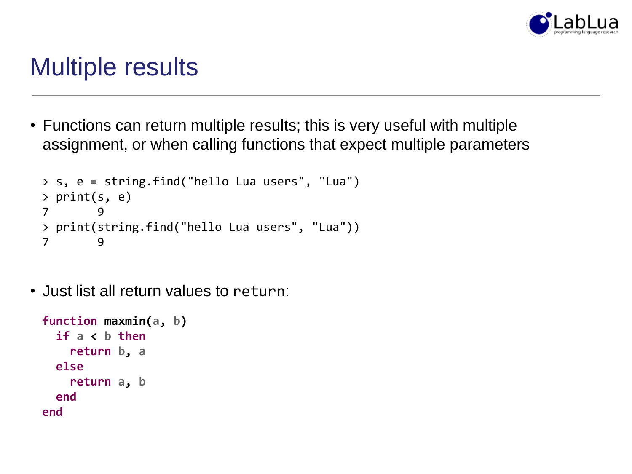

### Multiple results

• Functions can return multiple results; this is very useful with multiple assignment, or when calling functions that expect multiple parameters

```
> s, e = string.find("hello Lua users", "Lua")
> print(s, e)
7 9
> print(string.find("hello Lua users", "Lua"))
7 9
```
• Just list all return values to return:

```
function maxmin(a, b)
  if a < b then
    return b, a
 else
    return a, b
 end
end
```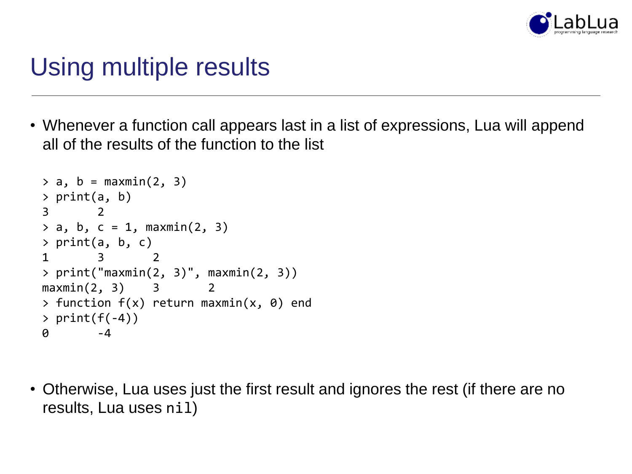

### Using multiple results

• Whenever a function call appears last in a list of expressions, Lua will append all of the results of the function to the list

```
> a, b = maxmin(2, 3)> print(a, b)
3 2
> a, b, c = 1, maxmin(2, 3)> print(a, b, c)
1 3 2
> print("maxmin(2, 3)", maxmin(2, 3))
maxmin(2, 3) 3
> function f(x) return maxmin(x, 0) end
> print(f(-4))0 -4
```
• Otherwise, Lua uses just the first result and ignores the rest (if there are no results, Lua uses nil)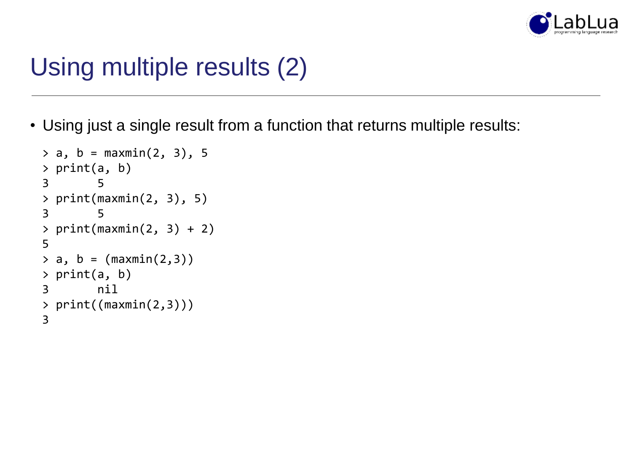

# Using multiple results (2)

• Using just a single result from a function that returns multiple results:

```
> a, b = maxmin(2, 3), 5> print(a, b)
3 5
> print(maxmin(2, 3), 5)
3 5
> print(maxmin(2, 3) + 2)5
> a, b = (maximum(2,3))> print(a, b)
3 nil
> print((maximum(2,3))))3
```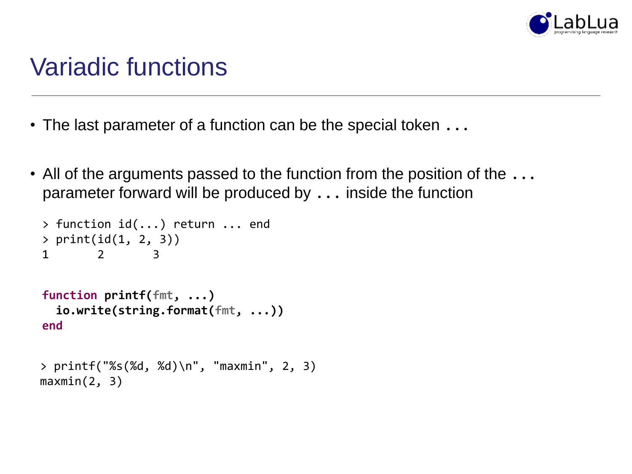

### Variadic functions

- The last parameter of a function can be the special token  $\dots$
- All of the arguments passed to the function from the position of the  $\dots$ parameter forward will be produced by ... inside the function

```
> function id(...) return ... end
> print(id(1, 2, 3))
1 2 3
function printf(fmt, ...)
 io.write(string.format(fmt, ...))
end
```

```
> printf("%s(%d, %d)\n", "maxmin", 2, 3)
maxmin(2, 3)
```